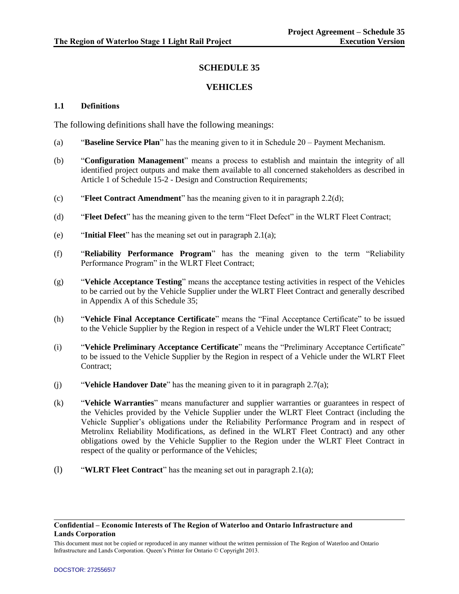# **SCHEDULE 35**

# **VEHICLES**

### **1.1 Definitions**

The following definitions shall have the following meanings:

- (a) "**Baseline Service Plan**" has the meaning given to it in Schedule 20 Payment Mechanism.
- (b) "**Configuration Management**" means a process to establish and maintain the integrity of all identified project outputs and make them available to all concerned stakeholders as described in Article 1 of Schedule 15-2 - Design and Construction Requirements;
- (c) "**Fleet Contract Amendment**" has the meaning given to it in paragraph 2.2(d);
- (d) "**Fleet Defect**" has the meaning given to the term "Fleet Defect" in the WLRT Fleet Contract;
- (e) "**Initial Fleet**" has the meaning set out in paragraph [2.1\(a\);](#page-1-0)
- (f) "**Reliability Performance Program**" has the meaning given to the term "Reliability Performance Program" in the WLRT Fleet Contract;
- (g) "**Vehicle Acceptance Testing**" means the acceptance testing activities in respect of the Vehicles to be carried out by the Vehicle Supplier under the WLRT Fleet Contract and generally described in Appendix A of this Schedule 35;
- (h) "**Vehicle Final Acceptance Certificate**" means the "Final Acceptance Certificate" to be issued to the Vehicle Supplier by the Region in respect of a Vehicle under the WLRT Fleet Contract;
- (i) "**Vehicle Preliminary Acceptance Certificate**" means the "Preliminary Acceptance Certificate" to be issued to the Vehicle Supplier by the Region in respect of a Vehicle under the WLRT Fleet Contract;
- (j) "**Vehicle Handover Date**" has the meaning given to it in paragraph [2.7\(a\);](#page-5-0)
- (k) "**Vehicle Warranties**" means manufacturer and supplier warranties or guarantees in respect of the Vehicles provided by the Vehicle Supplier under the WLRT Fleet Contract (including the Vehicle Supplier's obligations under the Reliability Performance Program and in respect of Metrolinx Reliability Modifications, as defined in the WLRT Fleet Contract) and any other obligations owed by the Vehicle Supplier to the Region under the WLRT Fleet Contract in respect of the quality or performance of the Vehicles;
- (l) "**WLRT Fleet Contract**" has the meaning set out in paragraph [2.1\(a\);](#page-1-0)

This document must not be copied or reproduced in any manner without the written permission of The Region of Waterloo and Ontario Infrastructure and Lands Corporation. Queen's Printer for Ontario © Copyright 2013.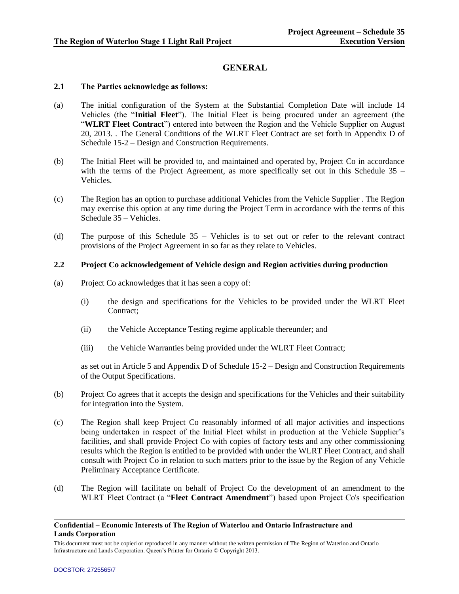# **PART 2GENERAL**

# **2.1 The Parties acknowledge as follows:**

- <span id="page-1-0"></span>(a) The initial configuration of the System at the Substantial Completion Date will include 14 Vehicles (the "**Initial Fleet**"). The Initial Fleet is being procured under an agreement (the "**WLRT Fleet Contract**") entered into between the Region and the Vehicle Supplier on August 20, 2013. . The General Conditions of the WLRT Fleet Contract are set forth in Appendix D of Schedule 15-2 – Design and Construction Requirements.
- (b) The Initial Fleet will be provided to, and maintained and operated by, Project Co in accordance with the terms of the Project Agreement, as more specifically set out in this Schedule 35 – Vehicles.
- (c) The Region has an option to purchase additional Vehicles from the Vehicle Supplier . The Region may exercise this option at any time during the Project Term in accordance with the terms of this Schedule 35 – Vehicles.
- (d) The purpose of this Schedule 35 Vehicles is to set out or refer to the relevant contract provisions of the Project Agreement in so far as they relate to Vehicles.

### **2.2 Project Co acknowledgement of Vehicle design and Region activities during production**

- (a) Project Co acknowledges that it has seen a copy of:
	- (i) the design and specifications for the Vehicles to be provided under the WLRT Fleet Contract;
	- (ii) the Vehicle Acceptance Testing regime applicable thereunder; and
	- (iii) the Vehicle Warranties being provided under the WLRT Fleet Contract;

as set out in Article 5 and Appendix D of Schedule 15-2 – Design and Construction Requirements of the Output Specifications.

- (b) Project Co agrees that it accepts the design and specifications for the Vehicles and their suitability for integration into the System.
- (c) The Region shall keep Project Co reasonably informed of all major activities and inspections being undertaken in respect of the Initial Fleet whilst in production at the Vehicle Supplier's facilities, and shall provide Project Co with copies of factory tests and any other commissioning results which the Region is entitled to be provided with under the WLRT Fleet Contract, and shall consult with Project Co in relation to such matters prior to the issue by the Region of any Vehicle Preliminary Acceptance Certificate.
- (d) The Region will facilitate on behalf of Project Co the development of an amendment to the WLRT Fleet Contract (a "**Fleet Contract Amendment**") based upon Project Co's specification

### **Confidential – Economic Interests of The Region of Waterloo and Ontario Infrastructure and Lands Corporation**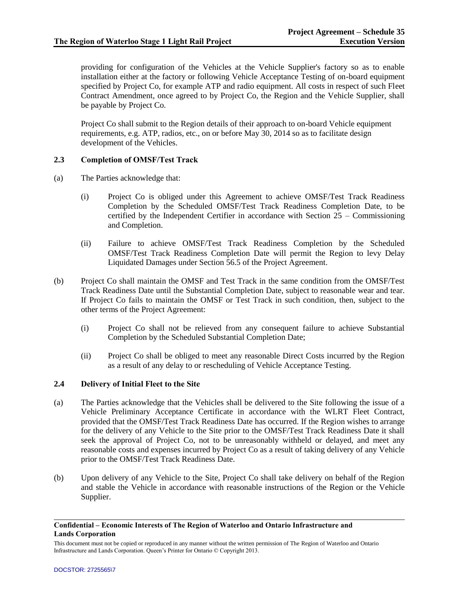providing for configuration of the Vehicles at the Vehicle Supplier's factory so as to enable installation either at the factory or following Vehicle Acceptance Testing of on-board equipment specified by Project Co, for example ATP and radio equipment. All costs in respect of such Fleet Contract Amendment, once agreed to by Project Co, the Region and the Vehicle Supplier, shall be payable by Project Co.

Project Co shall submit to the Region details of their approach to on-board Vehicle equipment requirements, e.g. ATP, radios, etc., on or before May 30, 2014 so as to facilitate design development of the Vehicles.

# **2.3 Completion of OMSF/Test Track**

- (a) The Parties acknowledge that:
	- (i) Project Co is obliged under this Agreement to achieve OMSF/Test Track Readiness Completion by the Scheduled OMSF/Test Track Readiness Completion Date, to be certified by the Independent Certifier in accordance with Section 25 – Commissioning and Completion.
	- (ii) Failure to achieve OMSF/Test Track Readiness Completion by the Scheduled OMSF/Test Track Readiness Completion Date will permit the Region to levy Delay Liquidated Damages under Section 56.5 of the Project Agreement.
- (b) Project Co shall maintain the OMSF and Test Track in the same condition from the OMSF/Test Track Readiness Date until the Substantial Completion Date, subject to reasonable wear and tear. If Project Co fails to maintain the OMSF or Test Track in such condition, then, subject to the other terms of the Project Agreement:
	- (i) Project Co shall not be relieved from any consequent failure to achieve Substantial Completion by the Scheduled Substantial Completion Date;
	- (ii) Project Co shall be obliged to meet any reasonable Direct Costs incurred by the Region as a result of any delay to or rescheduling of Vehicle Acceptance Testing.

# **2.4 Delivery of Initial Fleet to the Site**

- (a) The Parties acknowledge that the Vehicles shall be delivered to the Site following the issue of a Vehicle Preliminary Acceptance Certificate in accordance with the WLRT Fleet Contract, provided that the OMSF/Test Track Readiness Date has occurred. If the Region wishes to arrange for the delivery of any Vehicle to the Site prior to the OMSF/Test Track Readiness Date it shall seek the approval of Project Co, not to be unreasonably withheld or delayed, and meet any reasonable costs and expenses incurred by Project Co as a result of taking delivery of any Vehicle prior to the OMSF/Test Track Readiness Date.
- (b) Upon delivery of any Vehicle to the Site, Project Co shall take delivery on behalf of the Region and stable the Vehicle in accordance with reasonable instructions of the Region or the Vehicle Supplier.

This document must not be copied or reproduced in any manner without the written permission of The Region of Waterloo and Ontario Infrastructure and Lands Corporation. Queen's Printer for Ontario © Copyright 2013.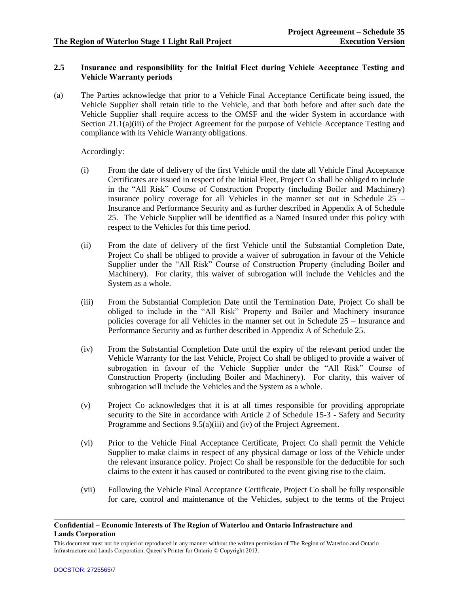# **2.5 Insurance and responsibility for the Initial Fleet during Vehicle Acceptance Testing and Vehicle Warranty periods**

(a) The Parties acknowledge that prior to a Vehicle Final Acceptance Certificate being issued, the Vehicle Supplier shall retain title to the Vehicle, and that both before and after such date the Vehicle Supplier shall require access to the OMSF and the wider System in accordance with Section 21.1(a)(iii) of the Project Agreement for the purpose of Vehicle Acceptance Testing and compliance with its Vehicle Warranty obligations.

### Accordingly:

- (i) From the date of delivery of the first Vehicle until the date all Vehicle Final Acceptance Certificates are issued in respect of the Initial Fleet, Project Co shall be obliged to include in the "All Risk" Course of Construction Property (including Boiler and Machinery) insurance policy coverage for all Vehicles in the manner set out in Schedule 25 – Insurance and Performance Security and as further described in Appendix A of Schedule 25. The Vehicle Supplier will be identified as a Named Insured under this policy with respect to the Vehicles for this time period.
- (ii) From the date of delivery of the first Vehicle until the Substantial Completion Date, Project Co shall be obliged to provide a waiver of subrogation in favour of the Vehicle Supplier under the "All Risk" Course of Construction Property (including Boiler and Machinery). For clarity, this waiver of subrogation will include the Vehicles and the System as a whole.
- (iii) From the Substantial Completion Date until the Termination Date, Project Co shall be obliged to include in the "All Risk" Property and Boiler and Machinery insurance policies coverage for all Vehicles in the manner set out in Schedule 25 – Insurance and Performance Security and as further described in Appendix A of Schedule 25.
- (iv) From the Substantial Completion Date until the expiry of the relevant period under the Vehicle Warranty for the last Vehicle, Project Co shall be obliged to provide a waiver of subrogation in favour of the Vehicle Supplier under the "All Risk" Course of Construction Property (including Boiler and Machinery). For clarity, this waiver of subrogation will include the Vehicles and the System as a whole.
- (v) Project Co acknowledges that it is at all times responsible for providing appropriate security to the Site in accordance with Article 2 of Schedule 15-3 - Safety and Security Programme and Sections 9.5(a)(iii) and (iv) of the Project Agreement.
- (vi) Prior to the Vehicle Final Acceptance Certificate, Project Co shall permit the Vehicle Supplier to make claims in respect of any physical damage or loss of the Vehicle under the relevant insurance policy. Project Co shall be responsible for the deductible for such claims to the extent it has caused or contributed to the event giving rise to the claim.
- (vii) Following the Vehicle Final Acceptance Certificate, Project Co shall be fully responsible for care, control and maintenance of the Vehicles, subject to the terms of the Project

#### **Confidential – Economic Interests of The Region of Waterloo and Ontario Infrastructure and Lands Corporation**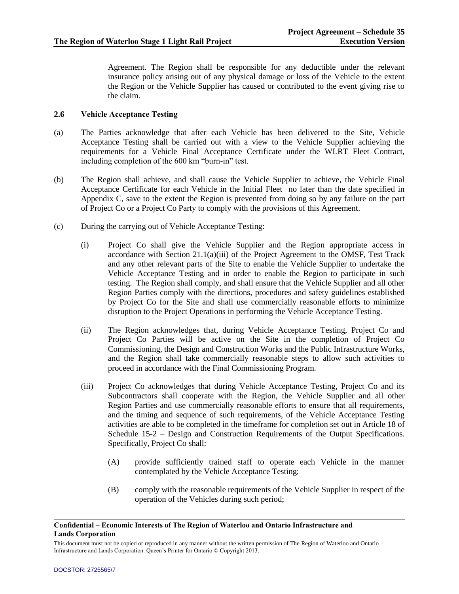Agreement. The Region shall be responsible for any deductible under the relevant insurance policy arising out of any physical damage or loss of the Vehicle to the extent the Region or the Vehicle Supplier has caused or contributed to the event giving rise to the claim.

# **2.6 Vehicle Acceptance Testing**

- (a) The Parties acknowledge that after each Vehicle has been delivered to the Site, Vehicle Acceptance Testing shall be carried out with a view to the Vehicle Supplier achieving the requirements for a Vehicle Final Acceptance Certificate under the WLRT Fleet Contract, including completion of the 600 km "burn-in" test.
- (b) The Region shall achieve, and shall cause the Vehicle Supplier to achieve, the Vehicle Final Acceptance Certificate for each Vehicle in the Initial Fleet no later than the date specified in Appendix C, save to the extent the Region is prevented from doing so by any failure on the part of Project Co or a Project Co Party to comply with the provisions of this Agreement.
- (c) During the carrying out of Vehicle Acceptance Testing:
	- (i) Project Co shall give the Vehicle Supplier and the Region appropriate access in accordance with Section  $21.1(a)(iii)$  of the Project Agreement to the OMSF, Test Track and any other relevant parts of the Site to enable the Vehicle Supplier to undertake the Vehicle Acceptance Testing and in order to enable the Region to participate in such testing. The Region shall comply, and shall ensure that the Vehicle Supplier and all other Region Parties comply with the directions, procedures and safety guidelines established by Project Co for the Site and shall use commercially reasonable efforts to minimize disruption to the Project Operations in performing the Vehicle Acceptance Testing.
	- (ii) The Region acknowledges that, during Vehicle Acceptance Testing, Project Co and Project Co Parties will be active on the Site in the completion of Project Co Commissioning, the Design and Construction Works and the Public Infrastructure Works, and the Region shall take commercially reasonable steps to allow such activities to proceed in accordance with the Final Commissioning Program.
	- (iii) Project Co acknowledges that during Vehicle Acceptance Testing, Project Co and its Subcontractors shall cooperate with the Region, the Vehicle Supplier and all other Region Parties and use commercially reasonable efforts to ensure that all requirements, and the timing and sequence of such requirements, of the Vehicle Acceptance Testing activities are able to be completed in the timeframe for completion set out in Article 18 of Schedule 15-2 – Design and Construction Requirements of the Output Specifications. Specifically, Project Co shall:
		- (A) provide sufficiently trained staff to operate each Vehicle in the manner contemplated by the Vehicle Acceptance Testing;
		- (B) comply with the reasonable requirements of the Vehicle Supplier in respect of the operation of the Vehicles during such period;

#### **Confidential – Economic Interests of The Region of Waterloo and Ontario Infrastructure and Lands Corporation**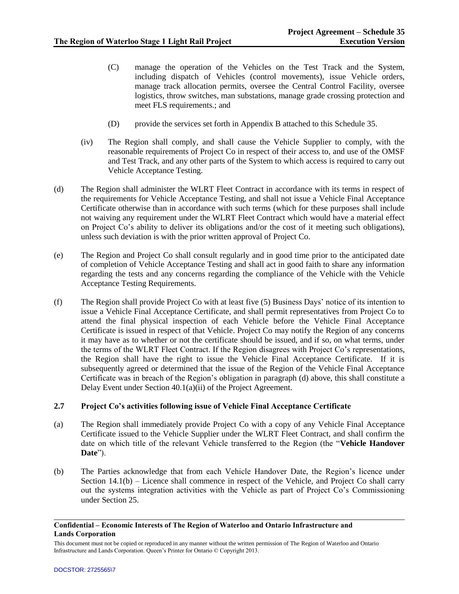- (C) manage the operation of the Vehicles on the Test Track and the System, including dispatch of Vehicles (control movements), issue Vehicle orders, manage track allocation permits, oversee the Central Control Facility, oversee logistics, throw switches, man substations, manage grade crossing protection and meet FLS requirements.; and
- (D) provide the services set forth in Appendix B attached to this Schedule 35.
- (iv) The Region shall comply, and shall cause the Vehicle Supplier to comply, with the reasonable requirements of Project Co in respect of their access to, and use of the OMSF and Test Track, and any other parts of the System to which access is required to carry out Vehicle Acceptance Testing.
- (d) The Region shall administer the WLRT Fleet Contract in accordance with its terms in respect of the requirements for Vehicle Acceptance Testing, and shall not issue a Vehicle Final Acceptance Certificate otherwise than in accordance with such terms (which for these purposes shall include not waiving any requirement under the WLRT Fleet Contract which would have a material effect on Project Co's ability to deliver its obligations and/or the cost of it meeting such obligations), unless such deviation is with the prior written approval of Project Co.
- (e) The Region and Project Co shall consult regularly and in good time prior to the anticipated date of completion of Vehicle Acceptance Testing and shall act in good faith to share any information regarding the tests and any concerns regarding the compliance of the Vehicle with the Vehicle Acceptance Testing Requirements.
- (f) The Region shall provide Project Co with at least five (5) Business Days' notice of its intention to issue a Vehicle Final Acceptance Certificate, and shall permit representatives from Project Co to attend the final physical inspection of each Vehicle before the Vehicle Final Acceptance Certificate is issued in respect of that Vehicle. Project Co may notify the Region of any concerns it may have as to whether or not the certificate should be issued, and if so, on what terms, under the terms of the WLRT Fleet Contract. If the Region disagrees with Project Co's representations, the Region shall have the right to issue the Vehicle Final Acceptance Certificate. If it is subsequently agreed or determined that the issue of the Region of the Vehicle Final Acceptance Certificate was in breach of the Region's obligation in paragraph (d) above, this shall constitute a Delay Event under Section 40.1(a)(ii) of the Project Agreement.

# **2.7 Project Co's activities following issue of Vehicle Final Acceptance Certificate**

- <span id="page-5-0"></span>(a) The Region shall immediately provide Project Co with a copy of any Vehicle Final Acceptance Certificate issued to the Vehicle Supplier under the WLRT Fleet Contract, and shall confirm the date on which title of the relevant Vehicle transferred to the Region (the "**Vehicle Handover Date**").
- (b) The Parties acknowledge that from each Vehicle Handover Date, the Region's licence under Section 14.1(b) – Licence shall commence in respect of the Vehicle, and Project Co shall carry out the systems integration activities with the Vehicle as part of Project Co's Commissioning under Section 25.

This document must not be copied or reproduced in any manner without the written permission of The Region of Waterloo and Ontario Infrastructure and Lands Corporation. Queen's Printer for Ontario © Copyright 2013.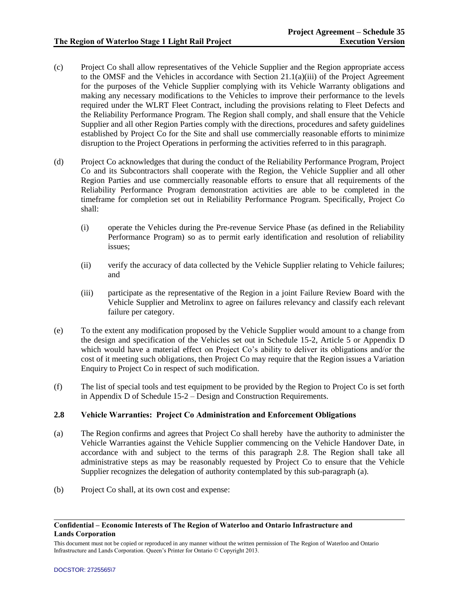- (c) Project Co shall allow representatives of the Vehicle Supplier and the Region appropriate access to the OMSF and the Vehicles in accordance with Section 21.1(a)(iii) of the Project Agreement for the purposes of the Vehicle Supplier complying with its Vehicle Warranty obligations and making any necessary modifications to the Vehicles to improve their performance to the levels required under the WLRT Fleet Contract, including the provisions relating to Fleet Defects and the Reliability Performance Program. The Region shall comply, and shall ensure that the Vehicle Supplier and all other Region Parties comply with the directions, procedures and safety guidelines established by Project Co for the Site and shall use commercially reasonable efforts to minimize disruption to the Project Operations in performing the activities referred to in this paragraph.
- (d) Project Co acknowledges that during the conduct of the Reliability Performance Program, Project Co and its Subcontractors shall cooperate with the Region, the Vehicle Supplier and all other Region Parties and use commercially reasonable efforts to ensure that all requirements of the Reliability Performance Program demonstration activities are able to be completed in the timeframe for completion set out in Reliability Performance Program. Specifically, Project Co shall:
	- (i) operate the Vehicles during the Pre-revenue Service Phase (as defined in the Reliability Performance Program) so as to permit early identification and resolution of reliability issues;
	- (ii) verify the accuracy of data collected by the Vehicle Supplier relating to Vehicle failures; and
	- (iii) participate as the representative of the Region in a joint Failure Review Board with the Vehicle Supplier and Metrolinx to agree on failures relevancy and classify each relevant failure per category.
- (e) To the extent any modification proposed by the Vehicle Supplier would amount to a change from the design and specification of the Vehicles set out in Schedule 15-2, Article 5 or Appendix D which would have a material effect on Project Co's ability to deliver its obligations and/or the cost of it meeting such obligations, then Project Co may require that the Region issues a Variation Enquiry to Project Co in respect of such modification.
- (f) The list of special tools and test equipment to be provided by the Region to Project Co is set forth in Appendix D of Schedule 15-2 – Design and Construction Requirements.

# <span id="page-6-0"></span>**2.8 Vehicle Warranties: Project Co Administration and Enforcement Obligations**

- (a) The Region confirms and agrees that Project Co shall hereby have the authority to administer the Vehicle Warranties against the Vehicle Supplier commencing on the Vehicle Handover Date, in accordance with and subject to the terms of this paragraph 2.8. The Region shall take all administrative steps as may be reasonably requested by Project Co to ensure that the Vehicle Supplier recognizes the delegation of authority contemplated by this sub-paragraph (a).
- <span id="page-6-1"></span>(b) Project Co shall, at its own cost and expense:

#### **Confidential – Economic Interests of The Region of Waterloo and Ontario Infrastructure and Lands Corporation**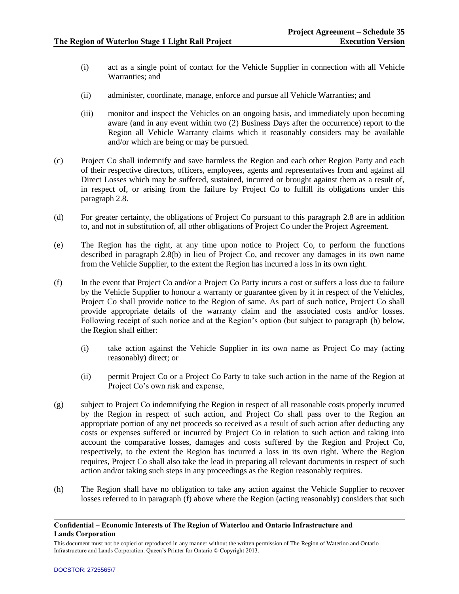- (i) act as a single point of contact for the Vehicle Supplier in connection with all Vehicle Warranties; and
- (ii) administer, coordinate, manage, enforce and pursue all Vehicle Warranties; and
- (iii) monitor and inspect the Vehicles on an ongoing basis, and immediately upon becoming aware (and in any event within two (2) Business Days after the occurrence) report to the Region all Vehicle Warranty claims which it reasonably considers may be available and/or which are being or may be pursued.
- (c) Project Co shall indemnify and save harmless the Region and each other Region Party and each of their respective directors, officers, employees, agents and representatives from and against all Direct Losses which may be suffered, sustained, incurred or brought against them as a result of, in respect of, or arising from the failure by Project Co to fulfill its obligations under this paragrap[h 2.8.](#page-6-0)
- (d) For greater certainty, the obligations of Project Co pursuant to this paragraph [2.8](#page-6-0) are in addition to, and not in substitution of, all other obligations of Project Co under the Project Agreement.
- (e) The Region has the right, at any time upon notice to Project Co, to perform the functions described in paragraph [2.8\(b\)](#page-6-1) in lieu of Project Co, and recover any damages in its own name from the Vehicle Supplier, to the extent the Region has incurred a loss in its own right.
- <span id="page-7-1"></span>(f) In the event that Project Co and/or a Project Co Party incurs a cost or suffers a loss due to failure by the Vehicle Supplier to honour a warranty or guarantee given by it in respect of the Vehicles, Project Co shall provide notice to the Region of same. As part of such notice, Project Co shall provide appropriate details of the warranty claim and the associated costs and/or losses. Following receipt of such notice and at the Region's option (but subject to paragraph [\(h\)](#page-7-0) below, the Region shall either:
	- (i) take action against the Vehicle Supplier in its own name as Project Co may (acting reasonably) direct; or
	- (ii) permit Project Co or a Project Co Party to take such action in the name of the Region at Project Co's own risk and expense,
- (g) subject to Project Co indemnifying the Region in respect of all reasonable costs properly incurred by the Region in respect of such action, and Project Co shall pass over to the Region an appropriate portion of any net proceeds so received as a result of such action after deducting any costs or expenses suffered or incurred by Project Co in relation to such action and taking into account the comparative losses, damages and costs suffered by the Region and Project Co, respectively, to the extent the Region has incurred a loss in its own right. Where the Region requires, Project Co shall also take the lead in preparing all relevant documents in respect of such action and/or taking such steps in any proceedings as the Region reasonably requires.
- <span id="page-7-0"></span>(h) The Region shall have no obligation to take any action against the Vehicle Supplier to recover losses referred to in paragraph [\(f\)](#page-7-1) above where the Region (acting reasonably) considers that such

### **Confidential – Economic Interests of The Region of Waterloo and Ontario Infrastructure and Lands Corporation**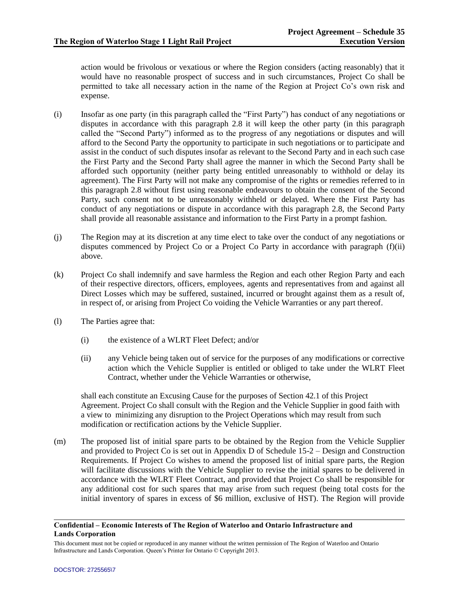action would be frivolous or vexatious or where the Region considers (acting reasonably) that it would have no reasonable prospect of success and in such circumstances, Project Co shall be permitted to take all necessary action in the name of the Region at Project Co's own risk and expense.

- (i) Insofar as one party (in this paragraph called the "First Party") has conduct of any negotiations or disputes in accordance with this paragraph [2.8](#page-6-0) it will keep the other party (in this paragraph called the "Second Party") informed as to the progress of any negotiations or disputes and will afford to the Second Party the opportunity to participate in such negotiations or to participate and assist in the conduct of such disputes insofar as relevant to the Second Party and in each such case the First Party and the Second Party shall agree the manner in which the Second Party shall be afforded such opportunity (neither party being entitled unreasonably to withhold or delay its agreement). The First Party will not make any compromise of the rights or remedies referred to in this paragraph [2.8](#page-6-0) without first using reasonable endeavours to obtain the consent of the Second Party, such consent not to be unreasonably withheld or delayed. Where the First Party has conduct of any negotiations or dispute in accordance with this paragraph [2.8,](#page-6-0) the Second Party shall provide all reasonable assistance and information to the First Party in a prompt fashion.
- (j) The Region may at its discretion at any time elect to take over the conduct of any negotiations or disputes commenced by Project Co or a Project Co Party in accordance with paragraph [\(f\)\(ii\)](#page-7-1) above.
- (k) Project Co shall indemnify and save harmless the Region and each other Region Party and each of their respective directors, officers, employees, agents and representatives from and against all Direct Losses which may be suffered, sustained, incurred or brought against them as a result of, in respect of, or arising from Project Co voiding the Vehicle Warranties or any part thereof.
- (l) The Parties agree that:
	- (i) the existence of a WLRT Fleet Defect; and/or
	- (ii) any Vehicle being taken out of service for the purposes of any modifications or corrective action which the Vehicle Supplier is entitled or obliged to take under the WLRT Fleet Contract, whether under the Vehicle Warranties or otherwise,

shall each constitute an Excusing Cause for the purposes of Section 42.1 of this Project Agreement. Project Co shall consult with the Region and the Vehicle Supplier in good faith with a view to minimizing any disruption to the Project Operations which may result from such modification or rectification actions by the Vehicle Supplier.

(m) The proposed list of initial spare parts to be obtained by the Region from the Vehicle Supplier and provided to Project Co is set out in Appendix D of Schedule 15-2 – Design and Construction Requirements. If Project Co wishes to amend the proposed list of initial spare parts, the Region will facilitate discussions with the Vehicle Supplier to revise the initial spares to be delivered in accordance with the WLRT Fleet Contract, and provided that Project Co shall be responsible for any additional cost for such spares that may arise from such request (being total costs for the initial inventory of spares in excess of \$6 million, exclusive of HST). The Region will provide

This document must not be copied or reproduced in any manner without the written permission of The Region of Waterloo and Ontario Infrastructure and Lands Corporation. Queen's Printer for Ontario © Copyright 2013.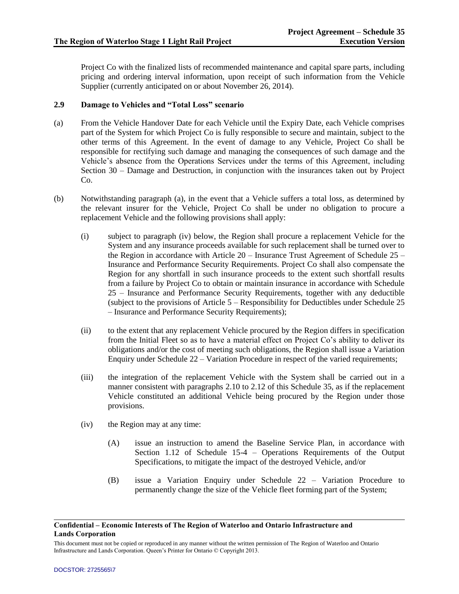Project Co with the finalized lists of recommended maintenance and capital spare parts, including pricing and ordering interval information, upon receipt of such information from the Vehicle Supplier (currently anticipated on or about November 26, 2014).

## <span id="page-9-3"></span>**2.9 Damage to Vehicles and "Total Loss" scenario**

- <span id="page-9-0"></span>(a) From the Vehicle Handover Date for each Vehicle until the Expiry Date, each Vehicle comprises part of the System for which Project Co is fully responsible to secure and maintain, subject to the other terms of this Agreement. In the event of damage to any Vehicle, Project Co shall be responsible for rectifying such damage and managing the consequences of such damage and the Vehicle's absence from the Operations Services under the terms of this Agreement, including Section 30 – Damage and Destruction, in conjunction with the insurances taken out by Project Co.
- (b) Notwithstanding paragraph [\(a\),](#page-9-0) in the event that a Vehicle suffers a total loss, as determined by the relevant insurer for the Vehicle, Project Co shall be under no obligation to procure a replacement Vehicle and the following provisions shall apply:
	- (i) subject to paragraph [\(iv\)](#page-9-1) below, the Region shall procure a replacement Vehicle for the System and any insurance proceeds available for such replacement shall be turned over to the Region in accordance with Article 20 – Insurance Trust Agreement of Schedule 25 – Insurance and Performance Security Requirements. Project Co shall also compensate the Region for any shortfall in such insurance proceeds to the extent such shortfall results from a failure by Project Co to obtain or maintain insurance in accordance with Schedule 25 – Insurance and Performance Security Requirements, together with any deductible (subject to the provisions of Article 5 – Responsibility for Deductibles under Schedule 25 – Insurance and Performance Security Requirements);
	- (ii) to the extent that any replacement Vehicle procured by the Region differs in specification from the Initial Fleet so as to have a material effect on Project Co's ability to deliver its obligations and/or the cost of meeting such obligations, the Region shall issue a Variation Enquiry under Schedule 22 – Variation Procedure in respect of the varied requirements;
	- (iii) the integration of the replacement Vehicle with the System shall be carried out in a manner consistent with paragraphs [2.10](#page-10-0) to [2.12](#page-11-0) of this Schedule 35, as if the replacement Vehicle constituted an additional Vehicle being procured by the Region under those provisions.
	- (iv) the Region may at any time:
		- (A) issue an instruction to amend the Baseline Service Plan, in accordance with Section 1.12 of Schedule 15-4 – Operations Requirements of the Output Specifications, to mitigate the impact of the destroyed Vehicle, and/or
		- (B) issue a Variation Enquiry under Schedule 22 Variation Procedure to permanently change the size of the Vehicle fleet forming part of the System;

<span id="page-9-2"></span><span id="page-9-1"></span>This document must not be copied or reproduced in any manner without the written permission of The Region of Waterloo and Ontario Infrastructure and Lands Corporation. Queen's Printer for Ontario © Copyright 2013.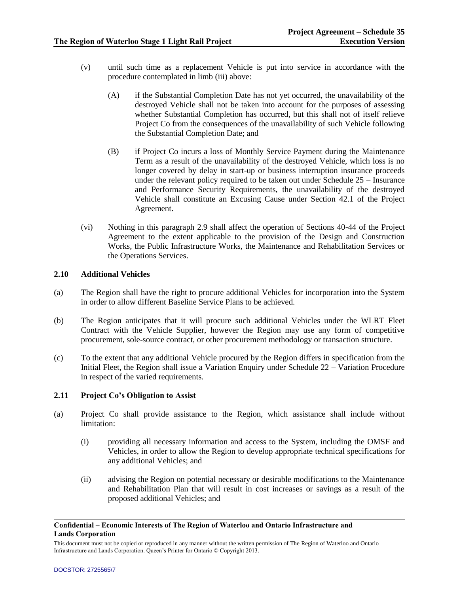- (v) until such time as a replacement Vehicle is put into service in accordance with the procedure contemplated in limb [\(iii\)](#page-9-2) above:
	- (A) if the Substantial Completion Date has not yet occurred, the unavailability of the destroyed Vehicle shall not be taken into account for the purposes of assessing whether Substantial Completion has occurred, but this shall not of itself relieve Project Co from the consequences of the unavailability of such Vehicle following the Substantial Completion Date; and
	- (B) if Project Co incurs a loss of Monthly Service Payment during the Maintenance Term as a result of the unavailability of the destroyed Vehicle, which loss is no longer covered by delay in start-up or business interruption insurance proceeds under the relevant policy required to be taken out under Schedule 25 – Insurance and Performance Security Requirements, the unavailability of the destroyed Vehicle shall constitute an Excusing Cause under Section 42.1 of the Project Agreement.
- (vi) Nothing in this paragraph [2.9](#page-9-3) shall affect the operation of Sections 40-44 of the Project Agreement to the extent applicable to the provision of the Design and Construction Works, the Public Infrastructure Works, the Maintenance and Rehabilitation Services or the Operations Services.

### <span id="page-10-0"></span>**2.10 Additional Vehicles**

- (a) The Region shall have the right to procure additional Vehicles for incorporation into the System in order to allow different Baseline Service Plans to be achieved.
- (b) The Region anticipates that it will procure such additional Vehicles under the WLRT Fleet Contract with the Vehicle Supplier, however the Region may use any form of competitive procurement, sole-source contract, or other procurement methodology or transaction structure.
- (c) To the extent that any additional Vehicle procured by the Region differs in specification from the Initial Fleet, the Region shall issue a Variation Enquiry under Schedule 22 – Variation Procedure in respect of the varied requirements.

### **2.11 Project Co's Obligation to Assist**

- (a) Project Co shall provide assistance to the Region, which assistance shall include without limitation:
	- (i) providing all necessary information and access to the System, including the OMSF and Vehicles, in order to allow the Region to develop appropriate technical specifications for any additional Vehicles; and
	- (ii) advising the Region on potential necessary or desirable modifications to the Maintenance and Rehabilitation Plan that will result in cost increases or savings as a result of the proposed additional Vehicles; and

This document must not be copied or reproduced in any manner without the written permission of The Region of Waterloo and Ontario Infrastructure and Lands Corporation. Queen's Printer for Ontario © Copyright 2013.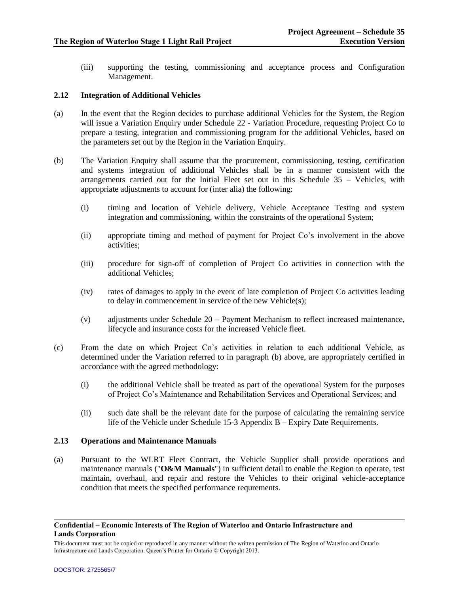(iii) supporting the testing, commissioning and acceptance process and Configuration Management.

### <span id="page-11-0"></span>**2.12 Integration of Additional Vehicles**

- (a) In the event that the Region decides to purchase additional Vehicles for the System, the Region will issue a Variation Enquiry under Schedule 22 - Variation Procedure, requesting Project Co to prepare a testing, integration and commissioning program for the additional Vehicles, based on the parameters set out by the Region in the Variation Enquiry.
- <span id="page-11-1"></span>(b) The Variation Enquiry shall assume that the procurement, commissioning, testing, certification and systems integration of additional Vehicles shall be in a manner consistent with the arrangements carried out for the Initial Fleet set out in this Schedule 35 – Vehicles, with appropriate adjustments to account for (inter alia) the following:
	- (i) timing and location of Vehicle delivery, Vehicle Acceptance Testing and system integration and commissioning, within the constraints of the operational System;
	- (ii) appropriate timing and method of payment for Project Co's involvement in the above activities;
	- (iii) procedure for sign-off of completion of Project Co activities in connection with the additional Vehicles;
	- (iv) rates of damages to apply in the event of late completion of Project Co activities leading to delay in commencement in service of the new Vehicle(s);
	- (v) adjustments under Schedule 20 Payment Mechanism to reflect increased maintenance, lifecycle and insurance costs for the increased Vehicle fleet.
- (c) From the date on which Project Co's activities in relation to each additional Vehicle, as determined under the Variation referred to in paragraph [\(b\)](#page-11-1) above, are appropriately certified in accordance with the agreed methodology:
	- (i) the additional Vehicle shall be treated as part of the operational System for the purposes of Project Co's Maintenance and Rehabilitation Services and Operational Services; and
	- (ii) such date shall be the relevant date for the purpose of calculating the remaining service life of the Vehicle under Schedule 15-3 Appendix B – Expiry Date Requirements.

### **2.13 Operations and Maintenance Manuals**

(a) Pursuant to the WLRT Fleet Contract, the Vehicle Supplier shall provide operations and maintenance manuals ("**O&M Manuals**") in sufficient detail to enable the Region to operate, test maintain, overhaul, and repair and restore the Vehicles to their original vehicle-acceptance condition that meets the specified performance requrements.

This document must not be copied or reproduced in any manner without the written permission of The Region of Waterloo and Ontario Infrastructure and Lands Corporation. Queen's Printer for Ontario © Copyright 2013.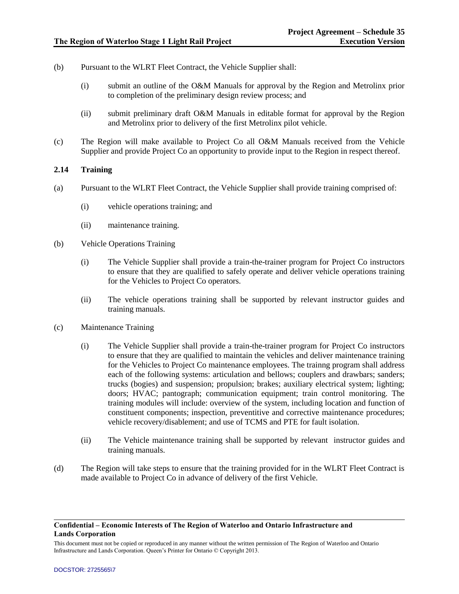- (b) Pursuant to the WLRT Fleet Contract, the Vehicle Supplier shall:
	- (i) submit an outline of the O&M Manuals for approval by the Region and Metrolinx prior to completion of the preliminary design review process; and
	- (ii) submit preliminary draft O&M Manuals in editable format for approval by the Region and Metrolinx prior to delivery of the first Metrolinx pilot vehicle.
- (c) The Region will make available to Project Co all O&M Manuals received from the Vehicle Supplier and provide Project Co an opportunity to provide input to the Region in respect thereof.

### **2.14 Training**

- (a) Pursuant to the WLRT Fleet Contract, the Vehicle Supplier shall provide training comprised of:
	- (i) vehicle operations training; and
	- (ii) maintenance training.
- (b) Vehicle Operations Training
	- (i) The Vehicle Supplier shall provide a train-the-trainer program for Project Co instructors to ensure that they are qualified to safely operate and deliver vehicle operations training for the Vehicles to Project Co operators.
	- (ii) The vehicle operations training shall be supported by relevant instructor guides and training manuals.
- (c) Maintenance Training
	- (i) The Vehicle Supplier shall provide a train-the-trainer program for Project Co instructors to ensure that they are qualified to maintain the vehicles and deliver maintenance training for the Vehicles to Project Co maintenance employees. The trainng program shall address each of the following systems: articulation and bellows; couplers and drawbars; sanders; trucks (bogies) and suspension; propulsion; brakes; auxiliary electrical system; lighting; doors; HVAC; pantograph; communication equipment; train control monitoring. The training modules will include: overview of the system, including location and function of constituent components; inspection, preventitive and corrective maintenance procedures; vehicle recovery/disablement; and use of TCMS and PTE for fault isolation.
	- (ii) The Vehicle maintenance training shall be supported by relevant instructor guides and training manuals.
- (d) The Region will take steps to ensure that the training provided for in the WLRT Fleet Contract is made available to Project Co in advance of delivery of the first Vehicle.

### **Confidential – Economic Interests of The Region of Waterloo and Ontario Infrastructure and Lands Corporation**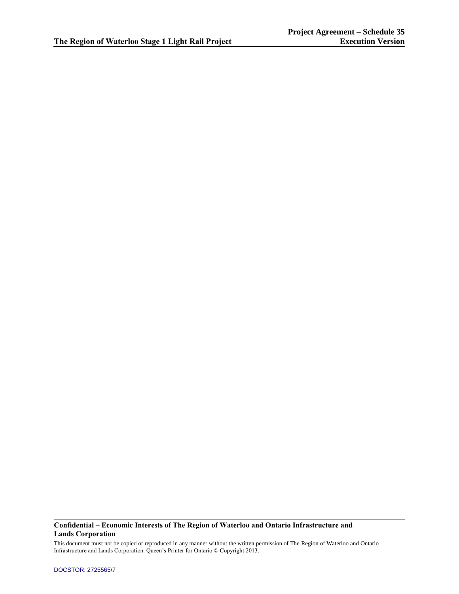### **Confidential – Economic Interests of The Region of Waterloo and Ontario Infrastructure and Lands Corporation**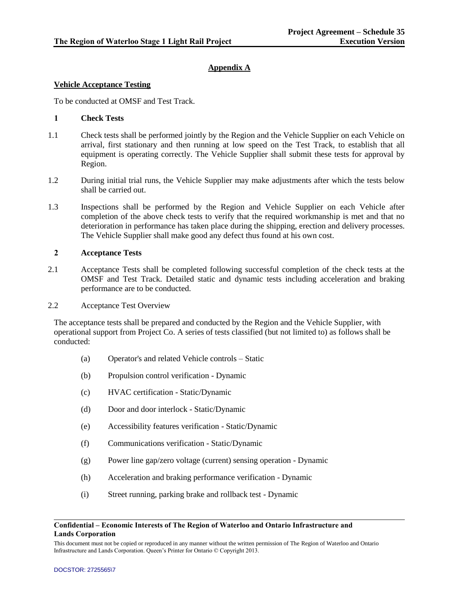# **Appendix A**

# **Vehicle Acceptance Testing**

To be conducted at OMSF and Test Track.

### **1 Check Tests**

- 1.1 Check tests shall be performed jointly by the Region and the Vehicle Supplier on each Vehicle on arrival, first stationary and then running at low speed on the Test Track, to establish that all equipment is operating correctly. The Vehicle Supplier shall submit these tests for approval by Region.
- 1.2 During initial trial runs, the Vehicle Supplier may make adjustments after which the tests below shall be carried out.
- 1.3 Inspections shall be performed by the Region and Vehicle Supplier on each Vehicle after completion of the above check tests to verify that the required workmanship is met and that no deterioration in performance has taken place during the shipping, erection and delivery processes. The Vehicle Supplier shall make good any defect thus found at his own cost.

### **2 Acceptance Tests**

- 2.1 Acceptance Tests shall be completed following successful completion of the check tests at the OMSF and Test Track. Detailed static and dynamic tests including acceleration and braking performance are to be conducted.
- 2.2 Acceptance Test Overview

The acceptance tests shall be prepared and conducted by the Region and the Vehicle Supplier, with operational support from Project Co. A series of tests classified (but not limited to) as follows shall be conducted:

- (a) Operator's and related Vehicle controls Static
- (b) Propulsion control verification Dynamic
- (c) HVAC certification Static/Dynamic
- (d) Door and door interlock Static/Dynamic
- (e) Accessibility features verification Static/Dynamic
- (f) Communications verification Static/Dynamic
- (g) Power line gap/zero voltage (current) sensing operation Dynamic
- (h) Acceleration and braking performance verification Dynamic
- (i) Street running, parking brake and rollback test Dynamic

#### **Confidential – Economic Interests of The Region of Waterloo and Ontario Infrastructure and Lands Corporation**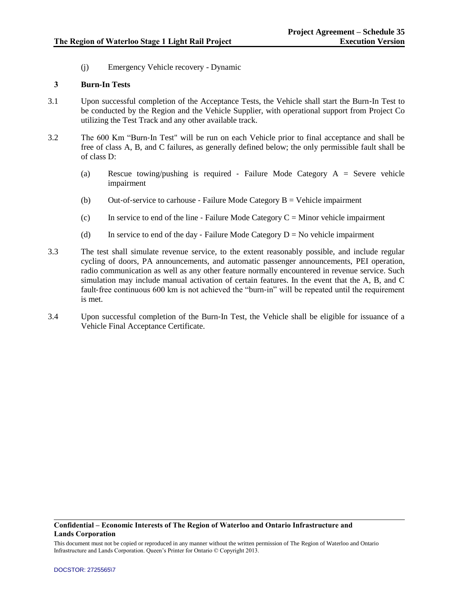(j) Emergency Vehicle recovery - Dynamic

## **3 Burn-In Tests**

- 3.1 Upon successful completion of the Acceptance Tests, the Vehicle shall start the Burn‐In Test to be conducted by the Region and the Vehicle Supplier, with operational support from Project Co utilizing the Test Track and any other available track.
- 3.2 The 600 Km "Burn‐In Test" will be run on each Vehicle prior to final acceptance and shall be free of class A, B, and C failures, as generally defined below; the only permissible fault shall be of class D:
	- (a) Rescue towing/pushing is required Failure Mode Category  $A =$  Severe vehicle impairment
	- (b) Out-of-service to carhouse Failure Mode Category  $B = V$ ehicle impairment
	- (c) In service to end of the line Failure Mode Category  $C =$  Minor vehicle impairment
	- (d) In service to end of the day Failure Mode Category  $D = No$  vehicle impairment
- 3.3 The test shall simulate revenue service, to the extent reasonably possible, and include regular cycling of doors, PA announcements, and automatic passenger announcements, PEI operation, radio communication as well as any other feature normally encountered in revenue service. Such simulation may include manual activation of certain features. In the event that the A, B, and C fault-free continuous 600 km is not achieved the "burn-in" will be repeated until the requirement is met.
- 3.4 Upon successful completion of the Burn‐In Test, the Vehicle shall be eligible for issuance of a Vehicle Final Acceptance Certificate.

### **Confidential – Economic Interests of The Region of Waterloo and Ontario Infrastructure and Lands Corporation**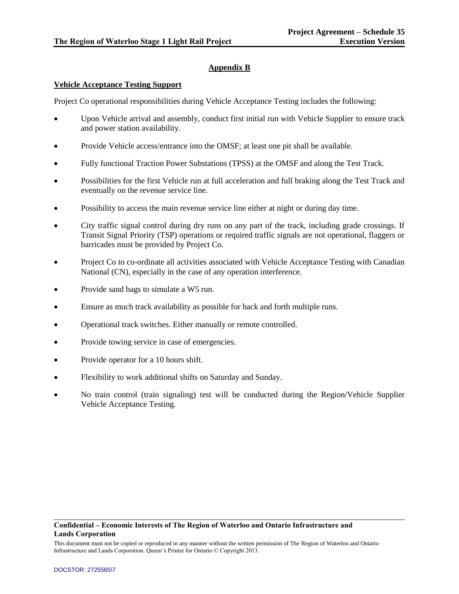# **Appendix B**

# **Vehicle Acceptance Testing Support**

Project Co operational responsibilities during Vehicle Acceptance Testing includes the following:

- Upon Vehicle arrival and assembly, conduct first initial run with Vehicle Supplier to ensure track and power station availability.
- Provide Vehicle access/entrance into the OMSF; at least one pit shall be available.
- Fully functional Traction Power Substations (TPSS) at the OMSF and along the Test Track.
- Possibilities for the first Vehicle run at full acceleration and full braking along the Test Track and eventually on the revenue service line.
- Possibility to access the main revenue service line either at night or during day time.
- City traffic signal control during dry runs on any part of the track, including grade crossings. If Transit Signal Priority (TSP) operations or required traffic signals are not operational, flaggers or barricades must be provided by Project Co.
- Project Co to co-ordinate all activities associated with Vehicle Acceptance Testing with Canadian National (CN), especially in the case of any operation interference.
- Provide sand bags to simulate a W5 run.
- Ensure as much track availability as possible for back and forth multiple runs.
- Operational track switches. Either manually or remote controlled.
- Provide towing service in case of emergencies.
- Provide operator for a 10 hours shift.
- Flexibility to work additional shifts on Saturday and Sunday.
- No train control (train signaling) test will be conducted during the Region/Vehicle Supplier Vehicle Acceptance Testing.

### **Confidential – Economic Interests of The Region of Waterloo and Ontario Infrastructure and Lands Corporation**